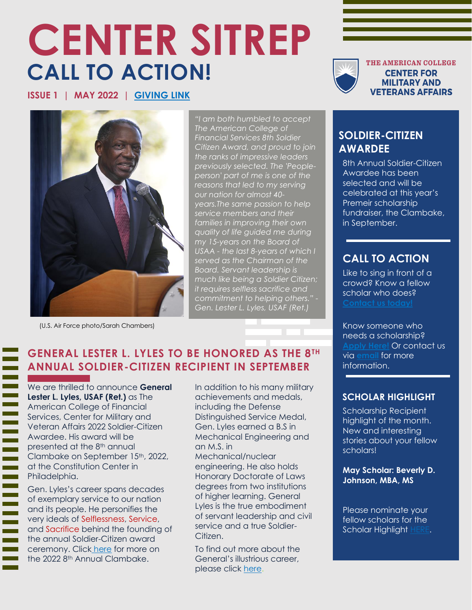# **CENTER SITREP CALL TO ACTION!**

**ISSUE 1 | MAY 2022 | [GIVING LINK](https://www.givecampus.com/campaigns/9516/donations/new)**



THE AMERICAN COLLEGE **CENTER FOR MILITARY AND VETERANS AFFAIRS** 



(U.S. Air Force photo/Sarah Chambers)

*"I am both humbled to accept The American College of Financial Services 8th Soldier Citizen Award, and proud to join the ranks of impressive leaders previously selected. The 'Peopleperson' part of me is one of the reasons that led to my serving our nation for almost 40 years.The same passion to help service members and their families in improving their own quality of life guided me during my 15-years on the Board of USAA - the last 8-years of which I served as the Chairman of the Board. Servant leadership is much like being a Soldier Citizen; it requires selfless sacrifice and commitment to helping others." - Gen. Lester L. Lyles, USAF (Ret.)*

#### **GENERAL LESTER L. LYLES TO BE HONORED AS THE 8TH ANNUAL SOLDIER-CITIZEN RECIPIENT IN SEPTEMBER**

We are thrilled to announce **General Lester L. Lyles, USAF (Ret.)** as The American College of Financial Services, Center for Military and Veteran Affairs 2022 Soldier-Citizen Awardee. His award will be presented at the 8th annual Clambake on September 15th, 2022, at the Constitution Center in Philadelphia.

Gen. Lyles's career spans decades of exemplary service to our nation and its people. He personifies the very ideals of Selflessness, Service, and Sacrifice behind the founding of the annual Soldier-Citizen award ceremony. Click [here](https://militaryaffairs.theamericancollege.edu/clambake) for more on the 2022 8<sup>th</sup> Annual Clambake.

In addition to his many military achievements and medals, including the Defense Distinguished Service Medal, Gen. Lyles earned a B.S in Mechanical Engineering and an M.S. in Mechanical/nuclear engineering. He also holds Honorary Doctorate of Laws degrees from two institutions of higher learning. General Lyles is the true embodiment of servant leadership and civil service and a true Soldier-Citizen.

To find out more about the General's illustrious career, please click [here.](https://www.nasa.gov/offices/nac/members/lyles-bio.html)

#### **SOLDIER-CITIZEN AWARDEE**

8th Annual Soldier-Citizen Awardee has been selected and will be celebrated at this year's Premeir scholarship fundraiser, the Clambake, in September.

### **CALL TO ACTION**

Like to sing in front of a crowd? Know a fellow scholar who does?

Know someone who needs a scholarship? **[Apply Here!](https://militaryaffairs.theamericancollege.edu/scholarships)** Or contact us via **[email](mailto:military@theamericancollege.edu)** for more information.

#### **SCHOLAR HIGHLIGHT**

Scholarship Recipient highlight of the month. New and interesting stories about your fellow scholars!

**May Scholar: Beverly D. Johnson, MBA, MS**

Please nominate your fellow scholars for the Scholar Highlight [HERE.](mailto:rick.nail@theamericancollege.edu)